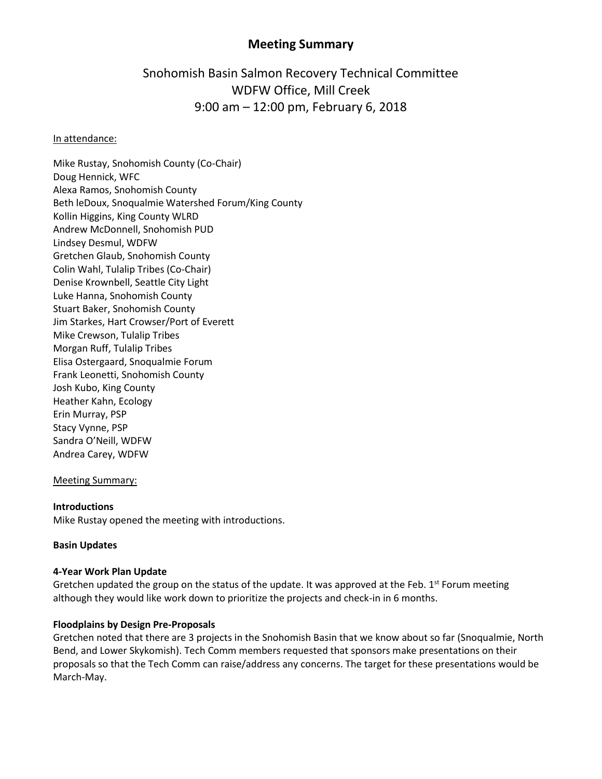# **Meeting Summary**

# Snohomish Basin Salmon Recovery Technical Committee WDFW Office, Mill Creek 9:00 am – 12:00 pm, February 6, 2018

#### In attendance:

Mike Rustay, Snohomish County (Co-Chair) Doug Hennick, WFC Alexa Ramos, Snohomish County Beth leDoux, Snoqualmie Watershed Forum/King County Kollin Higgins, King County WLRD Andrew McDonnell, Snohomish PUD Lindsey Desmul, WDFW Gretchen Glaub, Snohomish County Colin Wahl, Tulalip Tribes (Co-Chair) Denise Krownbell, Seattle City Light Luke Hanna, Snohomish County Stuart Baker, Snohomish County Jim Starkes, Hart Crowser/Port of Everett Mike Crewson, Tulalip Tribes Morgan Ruff, Tulalip Tribes Elisa Ostergaard, Snoqualmie Forum Frank Leonetti, Snohomish County Josh Kubo, King County Heather Kahn, Ecology Erin Murray, PSP Stacy Vynne, PSP Sandra O'Neill, WDFW Andrea Carey, WDFW

#### Meeting Summary:

#### **Introductions**

Mike Rustay opened the meeting with introductions.

#### **Basin Updates**

# **4-Year Work Plan Update**

Gretchen updated the group on the status of the update. It was approved at the Feb.  $1^{st}$  Forum meeting although they would like work down to prioritize the projects and check-in in 6 months.

#### **Floodplains by Design Pre-Proposals**

Gretchen noted that there are 3 projects in the Snohomish Basin that we know about so far (Snoqualmie, North Bend, and Lower Skykomish). Tech Comm members requested that sponsors make presentations on their proposals so that the Tech Comm can raise/address any concerns. The target for these presentations would be March-May.